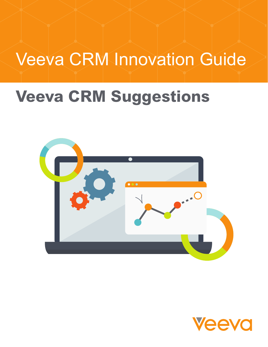# Veeva CRM Innovation Guide

## **Veeva CRM Suggestions**



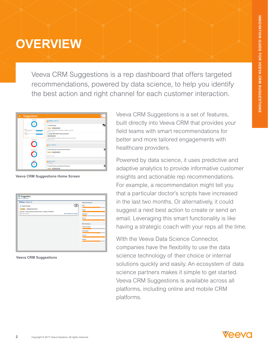### **OVERVIEW**

Veeva CRM Suggestions is a rep dashboard that offers targeted recommendations, powered by data science, to help you identify the best action and right channel for each customer interaction.

| <b>Suggestions</b><br>$\odot$     |                                                                                                                                                                         | <b>Children</b><br><b>O</b> Urport |
|-----------------------------------|-------------------------------------------------------------------------------------------------------------------------------------------------------------------------|------------------------------------|
| Call Detail                       | Difilippo, John A Jr.                                                                                                                                                   |                                    |
| Driver<br>Cholecap 90-day Trial   | <b>Detail Cholecap</b><br>Cholecap Cholecap 90-day 14st<br>Last Visit: 7/1/2016 Opened Cholecap Efficacy in children on 6/15/2016<br>Co Posted GYM/2016                 |                                    |
| Product<br>Cholecae<br>Send Email | Update Office Staff on Cholecap longetivity<br>Cholecap 90-day 16al<br>Voucher redemption has dropped 30%. Update office staff on new procedures.<br>C Posted 6/18/2016 |                                    |
|                                   | Aaron, Michael                                                                                                                                                          | Sine                               |
| Schedule Call                     | Detail Cholecap and drop 90-day Trial Voucher<br>Cholecap Cholecap 90 day 16al<br>C Period 6/18/2016                                                                    | Ç                                  |
| Insight                           | Abbate, Marc<br>Supertanget                                                                                                                                             | Sine                               |
|                                   | Detail Cholecap and drop 90-day Trial Voucher<br>Cholecap Cholecap 90-day 16al                                                                                          | Ģ                                  |

**Veeva CRM Suggestions Home Screen**

| ჟ<br>Email<br>Engage<br>Dismiss   Mark as Complete<br>Interactions |
|--------------------------------------------------------------------|
|                                                                    |
|                                                                    |
|                                                                    |
|                                                                    |
|                                                                    |
| Walk-Ins                                                           |
|                                                                    |
| Offer Preference                                                   |
| <b>Clinical Information</b>                                        |
|                                                                    |
|                                                                    |
| Payer Support                                                      |
| Vouchers                                                           |
|                                                                    |
|                                                                    |

**Veeva CRM Suggestions**

Veeva CRM Suggestions is a set of features, built directly into Veeva CRM that provides your field teams with smart recommendations for better and more tailored engagements with healthcare providers.

Powered by data science, it uses predictive and adaptive analytics to provide informative customer insights and actionable rep recommendations. For example, a recommendation might tell you that a particular doctor's scripts have increased in the last two months. Or alternatively, it could suggest a next best action to create or send an email. Leveraging this smart functionality is like having a strategic coach with your reps all the time.

WIth the Veeva Data Science Connector, companies have the flexibility to use the data science technology of their choice or internal solutions quickly and easily. An ecosystem of data science partners makes it simple to get started. Veeva CRM Suggestions is available across all platforms, including online and mobile CRM platforms.

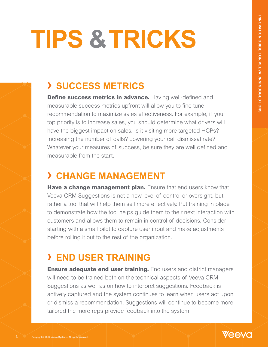# **TIPS & TRICKS**

### **› SUCCESS METRICS**

**Define success metrics in advance.** Having well-defined and measurable success metrics upfront will allow you to fine tune recommendation to maximize sales effectiveness. For example, if your top priority is to increase sales, you should determine what drivers will have the biggest impact on sales. Is it visiting more targeted HCPs? Increasing the number of calls? Lowering your call dismissal rate? Whatever your measures of success, be sure they are well defined and measurable from the start.

#### **› CHANGE MANAGEMENT**

**Have a change management plan.** Ensure that end users know that Veeva CRM Suggestions is not a new level of control or oversight, but rather a tool that will help them sell more effectively. Put training in place to demonstrate how the tool helps guide them to their next interaction with customers and allows them to remain in control of decisions. Consider starting with a small pilot to capture user input and make adjustments before rolling it out to the rest of the organization.

### **› END USER TRAINING**

**Ensure adequate end user training.** End users and district managers will need to be trained both on the technical aspects of Veeva CRM Suggestions as well as on how to interpret suggestions. Feedback is actively captured and the system continues to learn when users act upon or dismiss a recommendation. Suggestions will continue to become more tailored the more reps provide feedback into the system.



**3**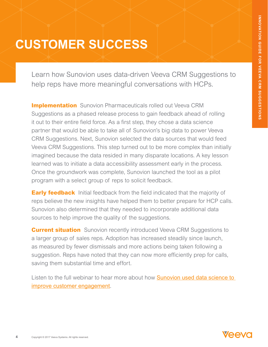### **CUSTOMER SUCCESS**

Learn how Sunovion uses data-driven Veeva CRM Suggestions to help reps have more meaningful conversations with HCPs.

**Implementation** Sunovion Pharmaceuticals rolled out Veeva CRM Suggestions as a phased release process to gain feedback ahead of rolling it out to their entire field force. As a first step, they chose a data science partner that would be able to take all of Sunovion's big data to power Veeva CRM Suggestions. Next, Sunovion selected the data sources that would feed Veeva CRM Suggestions. This step turned out to be more complex than initially imagined because the data resided in many disparate locations. A key lesson learned was to initiate a data accessibility assessment early in the process. Once the groundwork was complete, Sunovion launched the tool as a pilot program with a select group of reps to solicit feedback.

**Early feedback** Initial feedback from the field indicated that the majority of reps believe the new insights have helped them to better prepare for HCP calls. Sunovion also determined that they needed to incorporate additional data sources to help improve the quality of the suggestions.

**Current situation** Sunovion recently introduced Veeva CRM Suggestions to a larger group of sales reps. Adoption has increased steadily since launch, as measured by fewer dismissals and more actions being taken following a suggestion. Reps have noted that they can now more efficiently prep for calls, saving them substantial time and effort.

Listen to the full webinar to hear more about how **Sunovion used data science to** [improve customer engagement](https://www.veeva.com/resources/learn-how-sunovion-uses-data-science-to-improve-customer-engagement/).